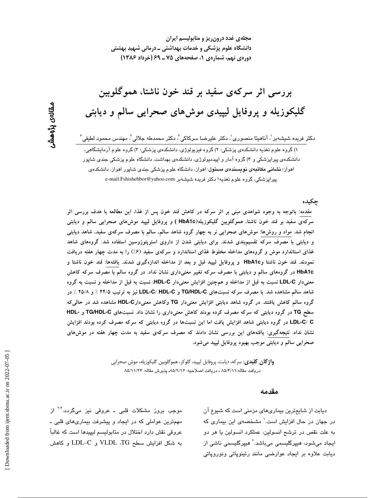مجلهی غدد درون ریز و متابولیسم ایران دانشگاه علوم پزشکی و خدمات بهداشتی ــ درمانی شهید بهشتی دورهی نهم، شمارهی ۱، صفحههای ۷۵ ـ ۶۹ (خرداد ۱۳۸۶)

# بررسی اثر سرکەی سفید بر قند خون ناشتا، هموگلوبین گلیکوزیله و پروفایل لیپیدی موش۵ای صحرایی سالم و دیابتی

دکتر فریده شیشهبر <sup>י</sup>، آناهیتا منصوری ٰ، دکتر علیرضا سرکاکی ٰ، دکتر محمدطه جلالی ؑ، مهندس محمود لطیفی ؑ ۱) گروه علوم تغذیه دانشکدهی پزشکی؛ ۲) گروه فیزیولوژی، دانشکدهی پزشکی؛ ۳) گروه علوم آزمایشگاهی، دانشکدهی پیراپزشکی و ۴) گروه آمار و اپیدمیولوژی، دانشکدهی بهداشت، دانشگاه علوم پزشکی جندی شاپور اهواز؛ **نشانی مکاتبهی نویسند***هی* **مسئول**: اهواز، دانشگاه علوم پزشکی جندی شاپور اهواز، دانشکدهی پیرایزشکی، گروه علوم تغذیه؛ دکتر فریده شیشهبر e-mail:Fshishehbor@yahoo.com

### چکیده

مقدمه: باتوجه به وجود شواهدی مبنی بر اثر سرکه در کاهش قند خون پس از غذا، این مطالعه با هدف بررسی اثر سرکەی سفید بر قند خون ناشتا، هموگلوبین گلیکوزیله(HbA1c ) و پروفایل لیپید موش۵ای صحرایی سالم و دیابتی انجام شد. مواد و روش۵ا: موش۵ای صحرایی نر به چهار گروه شاهد سالم، سالم با مصرف سرکهی سفید، شاهد دیابتی و دیابتی با مصرف سرکه تقسیمبندی شدند. برای دیابتی شدن از داروی استرپتوزوسین استفاده شد. گروههای شاهد غذای استاندارد موش و گروههای مداخله مخلوط غذای استاندارد و سرکهی سفید (۶٪) را به مدت چهار هفته دریافت نمودند. قند خون ناشتا وHbA1c و پروفایل لیپید قبل و بعد از مداخله اندازهگیری شدند. یافتهها: قند خون ناشتا و HbA1c در گروههای سالم و دیابتی با مصرف سرکه تغییر معنیداری نشان نداد. در گروه سالم با مصرف سرکه کاهش معنیدار LDL-C نسبت به قبل از مداخله و همچنین افزایش معنیدار HDL-C، نسبت به قبل از مداخله و نسبت به گروه شاهد سالم مشاهده شد. با مصرف سرکه نسبتهای TG/HDL-C و LDL-C/ HDL-C نیز به ترتیب ۴۴/۵ ٪ و ۲۵/۸ ٪ در گروه سالم کاهش یافتند. در گروه شاهد دیابتی افزایش معنیدار TG وکاهش معنیدارHDL-C مشاهده شد در حالی که سطح TG در گروه دیابتی که سرکه مصرف کرده بودند کاهش معنیداری را نشان داد. نسبتهای TG/HDL-C و -HDL LDL-C/ C در گروه دیابتی شاهد افزایش یافت اما این نسبتها در گروه دیابتی که سرکه مصرف کرده بودند افزایش نشان نداد. نتیجهگیری: یافتههای این بررسی نشان دادند که مصرف سرکهی سفید به مدت چهار هفته در موشهای صحرايي سالم و ديابتي موجب بهبود پروفايل ليپيد مي شود.

> **واژ گان کلیدی**: سرکه، دیابت، پروفایل لیپید، گلوکز، هموگلوبین گلیکوزیله، موش صحرایی دريافت مقاله:٨٥/٢/١١ ـ دريافت اصلاحيه: ٨٥/٩/١۶ـ پذيرش مقاله: ٨٥/١١/٢۴

#### مقدمه

موجب بروز مشکلات قلبی ـ عروقی نیز میگردد.<sup>۲۰۲</sup> از مهمترین عواملی که در ایجاد و پیشرفت بیماریهای قلبی ـ عروقي نقش دارد اختلال در متابوليسم ليپيدها است كه غالباً به شكل افزايش سطح VLDL ،TG و LDL-C و كاهش دیابت از شایعترین بیماریهای مزمنی است که شیوع آن در جهان در حال افزایش است.<sup>\</sup> مشخصهی این بیماری که به علت نقص در ترشح انسولین، عملکرد انسولین یا هر دو ایجاد میشود، هیپرگلیسمی میباشد.<sup>۲</sup> هیپرگلیسمی ناشی از دیابت علاوه بر ایجاد عوارضی مانند رتینوپاتی ونوروپاتی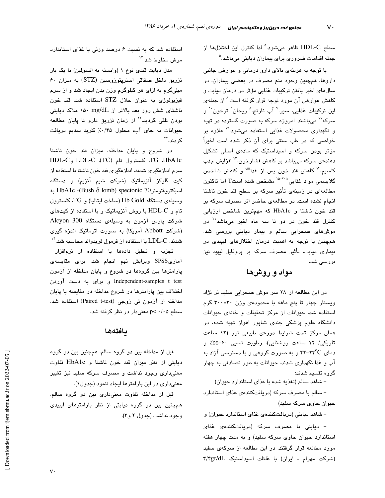سطح HDL-C ظاهر میشود.<sup>۵</sup> لذا کنترل این اختلالها از جمله اقدامات ضروری برای بیماران دیابتی میباشد.<sup>۵</sup>

با توجه به هزینهی بالای دارو درمانی و عوارض جانبی داروها، همچنین وجود منع مصرف در بعضی بیماران، در سالهای اخیر یافتن ترکیبات غذایی مؤثر در درمان دیابت و کاهش عوارض آن مورد توجه قرار گرفته است.'ُ از جملهی این ترکیبات غذایی، سیر،<sup>۷</sup> آب نارنج،<sup>۸</sup> ریحان<sup>۹</sup> ترخون<sup>۱۰</sup> و سرکه'<sup>۱</sup> میباشند. امروزه سرکه به صورت گسترده در تهیه و نگهدار*ی* محصولات غذایی استفاده میشود.<sup>۱۲</sup> علاوه بر خواصی که در طب سنتی برای آن ذکر شده است اخیراً مؤثر بودن سرکه و اسیداستیک که مادهی اصلی تشکیل دهندهی سرکه میباشد بر کاهش فشارخون،<sup>۱۳</sup> افزایش جذب کلسیم،"' کاهش قند خون پس از غذا<sup>ننن</sup>' و کاهش شاخص گلایسمی مواد غذای<sub>ی</sub> <sup>۱۵-۲۰</sup>ix مشخص شده استT اما تاکنون مطالعهای در زمینهی تأثیر سرکه بر سطح قند خون ناشتا انجام نشده است. در مطالعهی حاضر اثر مصرف سرکه بر قند خون ناشتا و HbA1c که مهمترین شاخص ارزیابی کنترل قند خون در دو تا سه ماه اخیر میباشد<sup>۲۱</sup> در موش های صحرایی سالم و بیمار دیابتی بررسی شد. همچنین با توجه به اهمیت درمان اختلالهای لیپیدی در بیماری دیابت، تأثیر مصرف سرکه بر پروفایل لیپید نیز بررس*ی* شد.

### مواد و روشها

در این مطالعه از ۲۸ سر موش صحرایی سفید نر نژاد ویستار چهار تا پنج ماهه با محدودهی وزن ۳۰±۳۰ گرم استفاده شد. حیوانات از مرکز تحقیقات و خانهی حیوانات دانشگاه علوم پزشکی جندی شاپور اهواز تهیه شده، در همان مرکز تحت شرایط دورهی طبیعی نور (۱۲ ساعت تاریکی/ ۱۲ ساعت روشنایی)، رطوبت نسبی ۶۰-۵۵٪ و دمای ۲۴°۲-۲۲ و به صورت گروهی و با دسترسی آزاد به آب و غذا نگهداری شدند. حیوانات به طور تصادفی به چهار گروه تقسیم شدند:

- شاهد سالم (تغذیه شده با غذای استاندارد حیوان)

– سالم با مصرف سرکه (دریافتکنندهی غذای استاندارد حیوان حاوی سرکه سفید)

– شاهد دیابتی (دریافتکنندهی غذای استاندارد حیوان) و

– دیابتی با مصرف سرکه (دریافتکنندهی غذای استاندارد حیوان حاوی سرکه سفید) و به مدت چهار هفته مورد مطالعه قرار گرفتند. در این مطالعه از سرکهی سفید (شركت مهرام ـ ايران) با غلظت اسيداستيك f/۴gr/dL

استفاده شد که به نسبت ۶ درصد وزنی با غذای استاندارد موش مخلوط شد."

مدل دیابت قندی نوع ١ (وابسته به انسولین) با یک بار تزریق داخل صفاقی استریتوزوسین (STZ) به میزان ۶۰ میلیگرم به ازای هر کیلوگرم وزن بدن ایجاد شد و از سرم فیزیولوژی به عنوان حلال STZ استفاده شد. قند خون ناشتای شش روز بعد بالاتر از n۵۰ mg/dL ملاک دیابتی بودن تلقی گردید.<sup>۲۲</sup> از زمان تزریق دارو تا پایان مطالعه حیوانات به جای آب، محلول ۰/۴۵٪ کلرید سدیم دریافت کر دند.<sup>۲۲</sup>

در شروع و پایان مداخله، میزان قند خون ناشتا HDL-C و LDL-C لكسترول تام (TC) LDL-C و HDL-C سرم اندازهگیری شدند. اندازهگیری قند خون ناشتا با استفاده از کیت گلوکز آنزیماتیک (شرکت شیم آنزیم) و دستگاه اسىيكتروفتومترTbA1c (Bush  $\delta$  lomb) spectonic 70 بە وسیلهی دستگاه Hb Gold (ساخت ایتالیا) و TG، کلسترول تام و HDL-C با روش آنزیماتیک و با استفاده از کیتهای شرکت پارس آزمون به وسیلهی دستگاه Alcyon 300 (شرکت Abbott آمریکا) به صورت اتوماتیک اندزه گیری شدند. LDL-C با استفاده از فرمول فریدوالد محاسبه شد.<sup>۲۴</sup>

تجزیه و تحلیل دادهها با استفاده از نرمافزار آماریSPSS ویرایش نهم انجام شد. برای مقایسهی پارامترها بین گروهها در شروع و پایان مداخله از آزمون Independent-samples t test و برای به دست آوردن اختلاف بین پارامترها در شروع مداخله در مقایسه با پایان مداخله از آزمون تی زوجی (Paired t-test) استفاده شد. سطح ۰/۰۵ >p معنى دار در نظر گرفته شد.

#### بافتهها

قبل از مداخله بین دو گروه سالم، همچنین بین دو گروه دیابتی از نظر میزان قند خون ناشتا و HbA1c تفاوت معنیداری وجود نداشت و مصرف سرکه سفید نیز تغییر معنیداری در این پارامترها ایجاد ننمود (جدول ۱).

قبل از مداخله تفاوت معنى دارى بين دو گروه سالم، همچنین بین دو گروه دیابتی از نظر پارامترهای لیپیدی وجود نداشت (جدول ۲ و.۳).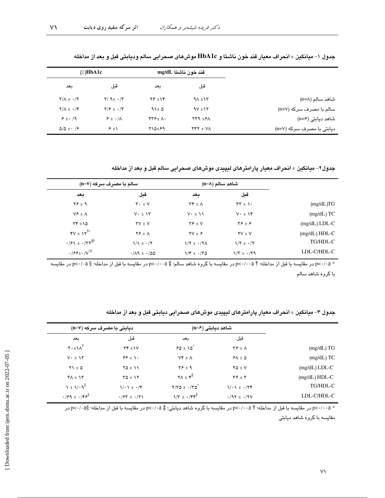$\vee\wedge$ 

|                           |                   | قند خون ناشتا mg/dL          |                                 | $\gamma$ : HbA1c                      |  |
|---------------------------|-------------------|------------------------------|---------------------------------|---------------------------------------|--|
|                           | قبل               | بعد                          | قبل                             | بعد                                   |  |
| شاهد سالم (n=۸)           | $9\Lambda \pm 15$ | $94 \pm 14$                  | $Y/9$ + $\cdot$ / $Y$           | $Y/\Lambda \pm \cdot /Y$              |  |
| سالم با مصرف سركه (n=۷)   | $9V \pm 1Y$       | $91 \pm 0$                   | $Y/F \pm \cdot /Y$              | $Y/\Lambda \pm \cdot$ /۴              |  |
| شاهد دیابتی (n=۶)         | $XYA + YA$        | $\tau\tau_{\pm}$ $\Lambda$ . | $\epsilon$ + $\cdot$ / $\wedge$ | $\mathcal{F} \pm \cdot / \mathcal{A}$ |  |
| دیابتی با مصرف سرکه (n=۷) | $YY + Y$          | $Y \Delta \pm 99$            | $\epsilon$ $\pm$ \              | $\Delta/\Delta \pm 1$                 |  |

جدول ١– ميانگين ± انحراف معيار قند خون ناشتا و HbA1c موش۵اى صحرايي سالم وديابتي قبل و بعد از مداخله

جدول۲- میانگین ± انحراف معیار پارامترهای لیپیدی موشهای صحرایی سالم قبل و بعد از مداخله

|                 |                                        | شاهد سالم (n=۸)                                |                                          | سالم با مصرف سرکه (n=۷)                                                                 |
|-----------------|----------------------------------------|------------------------------------------------|------------------------------------------|-----------------------------------------------------------------------------------------|
|                 | قبل                                    | بعد                                            | قبل                                      | بعد                                                                                     |
| (mg/dL)TG       | $\mathbf{r}\mathbf{r} \pm \mathbf{v}$  | $\Upsilon \Upsilon \pm \Lambda$                | $\mathbf{Y} \cdot \pm \mathbf{V}$        | $Y \xi \pm 9$                                                                           |
| $(mg/dL)$ TC    | $V \cdot \pm V$                        | $V \cdot \pm \Lambda$                          | $V \cdot \pm \Delta Y$                   | $V^{\epsilon}$ $\pm \Lambda$                                                            |
| $(mg/dL)$ LDL-C | $\mathbf{Y} \mathbf{F} \pm \mathbf{F}$ | $Y \xi \pm V$                                  | $\mathsf{Y} \mathsf{V} \pm \mathsf{V}$   | $YY = 10$                                                                               |
| $(mg/dL)$ HDL-C | $\mathsf{Y}\mathsf{V} \pm \mathsf{V}$  | $\mathbf{Y} \mathbf{V} \pm \mathbf{P}$         | $Y \xi \pm \Lambda$                      | $\mathbf{Y} \pm \mathbf{Y}^{\dagger *}$                                                 |
| TG/HDL-C        | $1/\tau \pm \cdot/\tau$                | $1/\Upsilon \pm \cdot/\Upsilon\Lambda$         | $1/1 \pm \cdot 7$                        | $\cdot$ / $\mathcal{F}$ \ $\pm$ $\cdot$ / $\mathcal{Y}$ $\mathcal{Y}^{\ddagger\dagger}$ |
| LDL-C/HDL-C     | $1/T \pm 1/T9$                         | $1/\mathfrak{r} \pm \cdot/\mathfrak{r} \Delta$ | $\cdot/\Lambda$ 9 ± $\cdot/\Delta\Delta$ | $\cdot$ /۶۶ $\pm$ $\cdot$ / $v^{*8}$                                                    |

\* p<-/٠۵ در مقایسه با قبل از مداخله؛ † p<-/٠٠۵ در مقایسه با گروه شاهد سالم؛ ‡ p<-/٠٠۵ در مقایسه با قبل از مداخله؛ § p<-/٠٥ در مقایسه با گروه شاهد سالم

|                                                    | دیابتی با مصرف سرکه (n=۷)                        |                                                | شاهد دیابتی (n=۶)                      |                 |
|----------------------------------------------------|--------------------------------------------------|------------------------------------------------|----------------------------------------|-----------------|
| بعد                                                | قبل                                              | بعد                                            | قبل                                    |                 |
| $\mathbf{r} \cdot \pm \mathbf{v} \wedge^{\dagger}$ | $\Upsilon \Upsilon \pm 1$                        | $50 \pm 10^{8}$                                | $\mathbf{Y} \mathbf{F} \pm \mathbf{A}$ | (mg/dL) TG      |
| $V \cdot \pm V$                                    | $99 \pm 1.$                                      | $Vf \pm A$                                     | $5\Lambda \pm \Delta$                  | $(mg/dL)$ TC    |
| $Y1 \pm 0$                                         | $Y\Delta \pm 11$                                 | $\mathbf{Y} \mathbf{F} \pm \mathbf{A}$         | $Y\Delta \pm V$                        | $(mg/dL)$ LDL-C |
| $\Upsilon \wedge \pm \Upsilon$                     | $\tau \Delta \pm 17$                             | $\mathbf{Y} \Lambda \pm \mathbf{Y}^{\ddagger}$ | $\mathbf{Y} \mathbf{F} \pm \mathbf{Y}$ | $(mg/dL) HDL-C$ |
| $\lambda \pm \frac{1}{9}$                          | $1/\cdot 1 \pm \cdot 7$                          | $Y/Y\Delta \pm \cdot/Y\Delta^*$                | $1/\cdot 1 \pm \cdot 77$               | TG/HDL-C        |
| $\cdot$ /۶۹ $\pm$ $\cdot$ /۴۶ $\frac{1}{2}$        | $\cdot$ / $/5$ $+$ $\cdot$ / $\cdot$ / $\cdot$ / | $1/\tau \pm 1/\tau \tau^{\ddagger}$            | $\cdot$ /97 ± $\cdot$ /7V              | LDL-C/HDL-C     |

جدول ۳– میانگین ± انحراف معیار پارامترهای لیپیدی موش@ای صحرایی دیابتی قبل و بعد از مداخله

\_<br>- \* p<- /··۵ در مقایسه با قبل از مداخله؛ † p<-/··۵ در مقایسه با گروه شاهد دیابتی؛ ‡ p<-/·۵ در مقایسه با قبل از مداخله؛ §p<-/··۵ در مقایسه با گروه شاهد دیابتی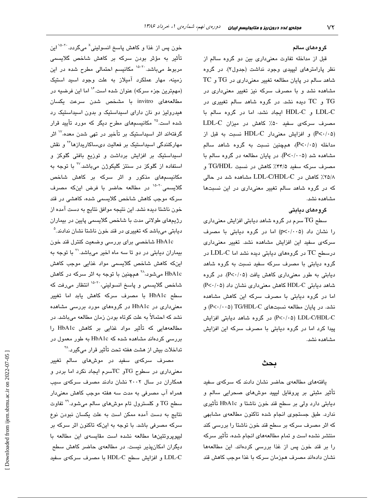#### گرو مهای سالم

قبل از مداخله تفاوت معنیداری بین دو گروه سالم از نظر پارامترهای لیپیدی وجود نداشت (جدول٢). در گروه  $\rm TC$  شاهد سالم در پایان مطالعه تغییر معنیداری در  $\rm TG$  و مشاهده نشد و با مصرف سرکه نیز تغییر معنیدار*ی* در و TC دیده نشد. در گروه شاهد سالم تغییری در  $\rm TG$ LDL-C و HDL-C ايجاد نشد، اما در گروه سالم با مصرف سرکهی سفید ۵۰٪ کاهش در میزان LDL-C (P<٠/٠۵) و افزایش معنیدار HDL-C نسبت به قبل از مداخله (P<۰/۰۵)، همچنین نسبت به گروه شاهد سالم مشاهده شد (P<۰/۰۰۵). در پایان مطالعه در گروه سالم با مصرف سرکه سفید ۳۴/۵٪ کاهش در نسبت TG/HDL و ۲۵/۸٪ کاهش در LDL-C/HDL-C مشاهده شد در حالی که در گروه شاهد سالم تغییر معنیداری در این نسبتها مشاهده نشد.

#### گروههای دیابتی

سطح  ${\rm TG}$  سرم در گروه شاهد دیابتی افزایش معنیداری را نشان داد (p<٠/٠٠۵) اما در گروه دیابتی با مصرف سرکەی سفید این افزایش مشاھدە نشد. تغییر معنیداری  $\rm \sim LDL$ -C در گروههای دیابتی دیده نشد اما LDL-C در گروه دیابتی با مصرف سرکه سفید نسبت به گروه شاهد دیابتی به طور معنیداری کاهش یافت (P<۰/۰۵). در گروه شاهد دیابتی HDL-C کاهش معنیداری نشان داد (P<۰/۰۵) اما در گروه دیابتی با مصرف سرکه این کاهش مشاهده نشد. در پایان مطالعه نسبتهای TG/HDL-C (۲۰۰۵-) و p<-/٠۵) LDL-C/HDL-C) در گروه شاهد دیابتی افزایش پیدا کرد اما در گروه دیابتی با مصرف سرکه این افزایش مشاهده نشد.

# بحث

یافتههای مطالعهی حاضر نشان دادند که سرکهی سفید تاثیر مثبتی بر پروفایل لیپید موش*ه*ای صحرایی سالم و دیابتی دارد ولی بر سطح قند خون ناشتا و HbA1c تأثیری ندارد. طبق جستجوی انجام شده تاکنون مطالعهی مشابهی که اثر مصرف سرکه بر سطح قند خون ناشتا را بررسی کند منتشر نشده است و تمام مطالعههای انجام شده، تأثیر سرکه را بر قند خون پس از غذا بررسی کردهاند. این مطالعهها نشان دادهاند مصرف همزمان سرکه با غذا موجب کاهش قند

خون پس از غذا و کاهش پاسخ انسولینی<sup>×</sup> میگردد.<sup>۲۰-۱۵</sup> این تاثیر به مؤثر بودن سرکه بر کاهش شاخص گلایسمی مربوط میباشد.<sup>۶-۱۵</sup> مکانیسم احتمالی مطرح شده در این زمینه، مهار عملکرد امیلاز به علت وجود اسید استیک (مهمترین جزء سرکه) عنوان شده است.<sup>۱۶</sup> اما این فرضیه در مطالعههای invitro با مشخص شدن سرعت یکسان هیدرولیز دو نان دارای اسیداستیک و بدون اسیداستیک رد شده است.<sup>۲۵</sup> مکانیسمهای مطرح دیگر که مورد تأیید قرار گرفتهاند اثر اسیداستیک بر تأخیر در تهی شدن معده،<sup>۱۷</sup> اثر مهارکنندگی اسیداستیک بر فعالیت دیساکاریدازها<sup>۲۶</sup> و نقش اسیداستیک بر افزایش برداشت و توزیع بافتی گلوکز و استفاده از گلوکز در سنتز گلیکوژن میباشد.<sup>۲۷</sup> با توجه به مکانیسمهای مذکور و اثر سرکه بر کاهش شاخص گلایسمی<sup>۲۰-۱۵</sup> در مطالعه حاضر با فرض اینکه مصرف سرکه موجب کاهش شاخص گلایسمی شده، کاهشی در قند خون ناشتا دیده نشد. این نتیجه موافق نتایج به دست امده از رژیمهای طولانی مدت با شاخص گلایسمی پایین در بیماران دیابتی میباشد که تغییری در قند خون ناشتا نشان ندادند.<sup>۵</sup>

HbA1c شاخصی برای بررسی وضعیت کنترل قند خون بیماران دیابتی در دو تا سه ماه اخیر میباشد.<sup>۲۱</sup> با توجه به اینکه کاهش شاخص گلایسمی مواد غذایی موجب کاهش HbA1c میشود،<sup>۲۸</sup> همچنین با توجه به اثر سرکه در کاهش شاخص گلایسمی و پاسخ انسولینی،<sup>۲۰-۱۵</sup> انتظار میرفت که سطح HbA1c با مصرف سرکه کاهش یابد اما تغییر معنیداری در HbA1c در گروههای مورد بررسی مشاهده نشد که احتمالا به علت کوتاه بودن زمان مطالعه میباشد. در مطالعههایی که تأثیر مواد غذایی بر کاهش HbA1c را بررسی کردهاند مشاهده شده که HbA1c به طور معمول در تداخلات بیش از هشت هفته تحت تأثیر قرار میگیرد.<sup>۲۸</sup>

مصرف سرکه*ی* سفید در موشها*ی* سالم تغییر معنیداری در سطوح TGو TCسرم ایجاد نکرد اما بردر و همکاران در سال ۲۰۰۲ نشان دادند مصرف سرکهی سیب همراه اب مصرفی به مدت سه هفته موجب کاهش معنیدار سطح TG و کلسترول تام موش۵ای سالم میشود.<sup>۲۹</sup> تفاوت نتایج به دست امده ممکن است به علت یکسان نبودن نوع سرکه مصرفی باشد. با توجه به اینکه تاکنون اثر سرکه بر لیپوپروتئینها مطالعه نشده است مقایسهی این مطالعه با دیگران امکانپذیر نیست. در مطالعهی حاضر کاهش سطح LDL-C و افزایش سطح HDL-C با مصرف سرکهی سفید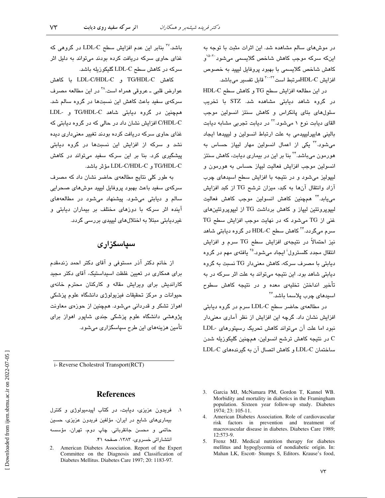در موشهای سالم مشاهده شد. این اثرات مثبت با توجه به اینکه سرکه موجب کاهش شاخص گلایسمی میشود<sup>۲۰-۱</sup>۵ كاهش شاخص گلايسمي با بهبود پروفايل ليپيد به خصوص افزايش HDL-Cمرتبط است<sup>٢٠-٣٢</sup> قابل تفسير مىباشد.

در این مطالعه افزایش سطح TG و کاهش سطح HDL-C در گروه شاهد دیابتی مشاهده شد. STZ با تخریب سلول های بتای پانکراس و کاهش سنتز انسولین موجب القای دیابت نوع ۱ میشود.<sup>۲۲</sup> در دیابت تجربی مشابه دیابت باليني هايپرليپيدمي به علت ارتباط انسولين و ليپيدها ايجاد میشود.<sup>۳</sup> یکی از اعمال انسولین مهار لیپاز حساس به هورمون میباشد.<sup>۲۴</sup> بنا بر این در بیمار*ی* دیابت، کاهش سنتز انسولين موجب افزايش فعاليت ليپاز حساس به هورمون و لیپولیز میشود و در نتیجه با افزایش سطح اسیدهای چرب آزاد وانتقال آنها به كبد، ميزان ترشح TG از كبد افزايش میڀابد.<sup>۳۴</sup> همچنين کاهش انسولين موجب کاهش فعاليت لیپوپروتئین لیپاز و کاهش برداشت TG از لیپوپروتئینهای غنی از TG می شود که در نهایت موجب افزایش سطح TG سرم میگردد.<sup>۳۴</sup> کاهش سطح HDL-C در گروه دیابتی شاهد نیز احتمالاً در نتیجهی افزایش سطح TG سرم و افزایش انتقال مجدد کلسترول<sup>i</sup> ایجاد میشود.<sup>۲۵</sup> یافته*ی* مهم در گروه دیابتی با مصرف سرکه، کاهش معنیدار TG نسبت به گروه دیابتی شاهد بود. این نتیجه میتواند به علت اثر سرکه در به تأخیر انداختن تخلیهی معده و در نتیجه کاهش سطوح اسيدهای چرب پلاسما باشد.<sup>۳۶</sup>

در مطالعهی حاضر سطح LDL-C سرم در گروه دیابتی افزایش نشان داد. گرچه این افزایش از نظر آماری معنیدار نبود اما علت آن میتواند کاهش تحریک رسپتورهای -LDL در نتیجه کاهش ترشح انسولین، همچنین گلیکوزیله شدن  $\rm{C}$ ساختمان LDL-C و كاهش اتصال آن به گیرندههای LDL-C

باشد.<sup>۳۷</sup> بنابر این عدم افزایش سطح LDL-C در گروهی که غذای حاوی سرکه دریافت کرده بودند میتواند به دلیل اثر سرکه در کاهش سطح LDL-C گلیکوزیله باشد.

كاهش TG/HDL-C و LDL-C/HDL-C با كاهش عوارض قلبي ــ عروقي همراه است.<sup>74</sup> در اين مطالعه مصرف سرکهی سفید باعث کاهش این نسبتها در گروه سالم شد. همچنین در گروه دیابتی شاهد TG/HDL-C و -LDL C/HDL-C افزایش نشان داد در حالی که در گروه دیابتی که غذای حاوی سرکه دریافت کرده بودند تغییر معنیداری دیده نشد و سرکه از افزایش این نسبتها در گروه دیابتی پیشگیری کرد. بنا بر این سرکه سفید میتواند در کاهش TG/HDL-C و LDL-C/HDL-C مؤثر باشد.

به طور کلی نتایج مطالعهی حاضر نشان داد که مصرف سرکەی سفید باعث بھبود پروفایل لیپید موشهای صحرایی سالم و دیابتی میشود. پیشنهاد میشود در مطالعههای آینده اثر سرکه با دوزهای مختلف بر بیماران دیابتی و غیردیابتی مبتلا به اختلالهای لیپیدی بررسی گردد.

## سیاسگزاری

از خانم دکتر آذر مستوفی و آقای دکتر احمد زندمقدم برای همکاری در تعیین غلظت اسپداستیک، آقای دکتر مجید کاراندیش برای ویرایش مقاله و کارکنان محترم خانهی حیوانات و مرکز تحقیقات فیزیولوژی دانشگاه علوم پزشکی اهواز تشکر و قدردانی میشود. همچنین از حوزهی معاونت پژوهشی دانشگاه علوم پزشکی جندی شاپور اهواز برای تأمین هزینههای این طرح سپاسگزاری میشود.

i- Reverse Cholestrol Transport(RCT)

#### **References**

- ١. فريدون عزيزى، ديابت، در كتاب اييدميولوژى و كنترل بیماری های شایع در ایران، مؤلفین فریدون عزیزی، حسین حاتمی و محسن جانقربانی. چاپ دوم، تهران، مؤسسه انتشاراتی خسروی، ۱۳۸۳، صفحه ۴۱.
- 2. American Diabetes Association. Report of the Expert Committee on the Diagnosis and Classification of Diabetes Mellitus. Diabetes Care 1997; 20: 1183-97.
- 3. Garcia MJ, McNamara PM, Gordon T, Kannel WB. Morbidity and mortality in diabetics in the Framingham population. Sixteen year follow-up study. Diabetes 1974: 23: 105-11.
- 4. American Diabetes Association. Role of cardiovascular risk factors in prevention and treatment of macrovascular disease in diabetes. Diabetes Care 1989; 12:573-9.
- 5. Frenz MJ. Medical nutrition therapy for diabetes mellitus and hypoglycemia of nondiabetic origin. In: Mahan LK, Escott- Stumps S, Editors. Krause's food,

 $\mathsf{V}\mathsf{Y}$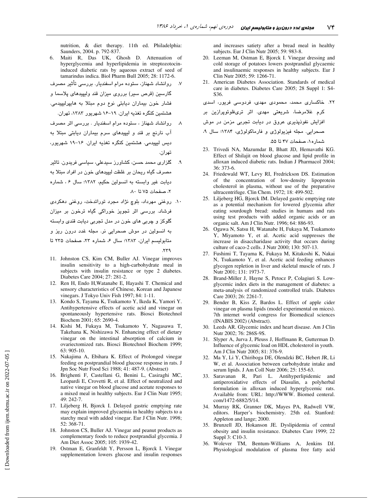nutrition, & diet therapy. 11th ed. Philadelphia: Saunders, 2004. p. 792-837.

- Maiti R, Das UK, Ghosh D. Attenuation of hyperglycemia and hyperlipidemia in streptozotocininduced diabetic rats by aqueous extract of seed of tamarindus indica. Biol Pharm Bull 2005; 28: 1172-6.
- روانشاد شهناز، ستوده مرام اسفندیار. بررسی تأثیر مصرف گارسین (قرص سیر) برروی میزان قند ولیپیدهای پلاسما و فشار خون بيماران ديابتى نوع دوم مبتلا به هايپرليپيدمى. هشتمین کنگره تغذیه ایران. ۱۹–۱۶ شهریور ۱۳۸۳، تهران.
- روانشاد شهناز ، ستوده مرام اسفندیار . بررسی اثر مصرف آب نارنج بر قند و لیپیدهای سرم بیماران دیابتی مبتلا به دیس لیپیدمی. هشتمین کنگره تغذیه ایران. ۱۶–۱۹ شهریور، تھر ان.
- گلزاری محمد حسن، کشاورز سیدعلی، سیاسی فریدون. تاثیر مصرف گیاه ریحان بر غلظت لیپیدهای خون در افراد مبتلا به دیابت غیر وابسته به انسولین حکیم، ١٣٨٢؛ سال ۶، شماره ٢، صفحات ٧۵ تا ٨٠.
- ۱۰. روغنی مهرداد، بلوچ نژاد مجرد توراتدخت، روغنی دهکردی فرشاد. بررسی اثر تجویز خوراکی گیاه ترخون بر میزان گلوکز و چربی های خون در مدل تجربی دیابت قندی وابسته به انسولین در موش صحرایی نر. مجله غدد درون ریز و متابوليسم ايران، ١٣٨٣؛ سال ۶، شماره ٢٢، صفحات ٢٣۵ تا  $.579$
- 11. Johnston CS, Kim CM, Buller AJ. Vinegar improves insulin sensitivity to a high-carbohydrate meal in subjects with insulin resistance or type 2 diabetes. Diabetes Care 2004; 27: 281-2.
- 12. Ren H, Endo H, Watanabe E, Hayashi T. Chemical and sensory characteristics of Chinese, Korean and Japanese vinegars. J Tokyo Univ Fish 1997; 84: 1-11.
- 13. Kondo S, Tayama K, Tsukamoto Y, Ikeda K, Yamori Y. Antihypertensive effects of acetic acid and vinegar on spontaneously hypertensive rats. Biosci Biotechnol Biochem 2001; 65: 2690-4.
- 14. Kishi M, Fukaya M, Tsukamoto Y, Nagasawa T, Takehana K, Nishizawa N. Enhancing effect of dietary vinegar on the intestinal absorption of calcium in ovariectomized rats. Biosci Biotechnol Biochem 1999; 63: 905-10.
- 15. Nakajima A, Ebihara K. Effect of Prolonged vinegar feeding on postprandial blood glucose response in rats. J Jpn Soc Nutr Food Sci 1988; 41: 487-9. (Abstract)
- 16. Brighenti F, Castellani G, Benini L, Casiraghi MC, Leopardi E, Crovetti R, et al. Effect of neutralized and native vinegar on blood glucose and acetate responses to a mixed meal in healthy subjects. Eur J Clin Nutr 1995; 49: 242-7.
- 17. Liljeberg H, Bjorck I. Delayed gastric emptying rate may explain improved glycaemia in healthy subjects to a starchy meal with added vinegar. Eur J Clin Nutr. 1998; 52: 368-71.
- 18. Johnston CS, Buller AJ. Vinegar and peanut products as complementary foods to reduce postprandial glycemia. J Am Diet Assoc 2005; 105: 1939-42.
- 19. Ostman E, Granfeldt Y, Persson L, Bjorck I. Vinegar supplementation lowers glucose and insulin responses

and increases satiety after a bread meal in healthy subjects. Eur J Clin Nutr 2005; 59: 983-8.

- 20. Leeman M, Ostman E, Bjorck I. Vinegar dressing and cold storage of potatoes lowers postprandial glycaemic and insulinaemic responses in healthy subjects. Eur J Clin Nutr 2005; 59: 1266-71.
- 21. American Diabetes Association. Standards of medical care in diabetes. Diabetes Care 2005; 28 Suppl 1: S4-S36.

۲۲. خاکساری محمد، محمودی مهدی، فردوسی فریور، اسدی

کرم غلامرضا، شر<mark>یعت</mark>ی مهدی. اثر تریفلوئوپرازین بر

افزایش نفوذپذیری عروق در دیابت تجربی مزمن در موش

شمار ه١، صفحات ۴۷ تا ۵۵.

- 23. Trivedi NA, Mazumdar B, Bhatt JD, Hemavathi KG. Effect of Shilajit on blood glucose and lipid profile in alloxan induced diabetic rats. Indian J Pharmacol 2004;  $36:373-6$
- 24. Friedewald WT, Levy RI, Fredrickson DS. Estimation of the concentration of low-density lipoprotein cholesterol in plasma, without use of the preparative ultracentrifuge. Clin Chem. 1972; 18: 499-502.
- 25. Liljeberg HG, Bjorck IM. Delayed gastric emptying rate as a potential mechanism for lowered glycemia after eating sourdough bread: studies in humans and rats using test products with added organic acids or an organic salt. Am J Clin Nutr. 1996; 64: 886-93.
- 26. Ogawa N, Satsu H, Watanabe H, Fukaya M, Tsukamoto Y, Miyamoto Y, et al. Acetic acid suppresses the increase in disaccharidase activity that occurs during culture of caco-2 cells. J Nutr 2000; 130: 507-13.
- 27. Fushimi T, Tayama K, Fukaya M, Kitakoshi K, Nakai N, Tsukamoto Y, et al. Acetic acid feeding enhances glycogen repletion in liver and skeletal muscle of rats. J Nutr 2001; 131: 1973-7.
- 28. Brand-Miller J, Hayne S, Petocz P, Colagiuri S. Lowglycemic index diets in the management of diabetes: a meta-analysis of randomized controlled trials. Diabetes Care 2003; 26: 2261-7.
- Bender B, Kiss Z, Bardos L. Effect of apple cider 29. vinegar on plasma lipids (model experimental on mices). 7th internet world congress for Biomedical sciences (INABIS 2002) (Abstract).
- 30. Leeds AR. Glycemic index and heart disease. Am J Clin Nutr 2002; 76: 286S-9S.
- Slyper A, Jurva J, Pleuss J, Hoffmann R, Gutterman D. 31. Influence of glycemic load on HDL cholesterol in youth. Am J Clin Nutr 2005; 81: 376-9.
- 32. Ma Y, Li Y, Chiriboga DE, Olendzki BC, Hebert JR, Li W, et al. Association between carbohydrate intake and serum lipids. J Am Coll Nutr 2006; 25: 155-63.
- 33. Saravanan R, Pari L. Antihyperlipidemic and antiperoxidative effects of Diasulin, a polyherbal formulation in alloxan induced hyperglycemic rats. Available from: URL: http://WWW. Biomed centeral. com/1472-6882/5/14.
- 34. Murray RK, Granner DK, Mayes PA, Radwell VW, editors. Harper's biochemistry. 25th ed. Stanford: Appleton and lange; 2000.
- $35.$ Brunzell JD, Hokanson JE. Dyslipidemia of central obesity and insulin resistance. Diabetes Care 1999; 22 Suppl 3: C10-3.
- Wolever TM, Bentum-Williams A, Jenkins DJ. 36. Physiological modulation of plasma free fatty acid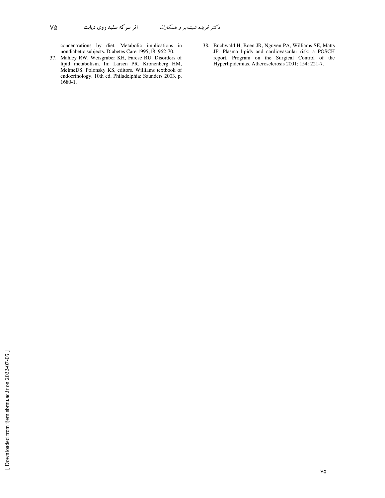concentrations by diet. Metabolic implications in nondiabetic subjects. Diabetes Care 1995;18: 962-70.

37. Mahley RW, Weisgraber KH, Farese RU. Disorders of lipid metabolism. In: Larsen PR, Kronenberg HM, MelmeDS, Polonsky KS, editors. Williams textbook of endocrinology. 10th ed. Philadelphia: Saunders 2003. p. 1680-1.

 $\vee \vartriangle$ 

38. Buchwald H, Boen JR, Nguyen PA, Williams SE, Matts JP. Plasma lipids and cardiovascular risk: a POSCH report. Program on the Surgical Control of the Hyperlipidemias. Atherosclerosis 2001; 154: 221-7.